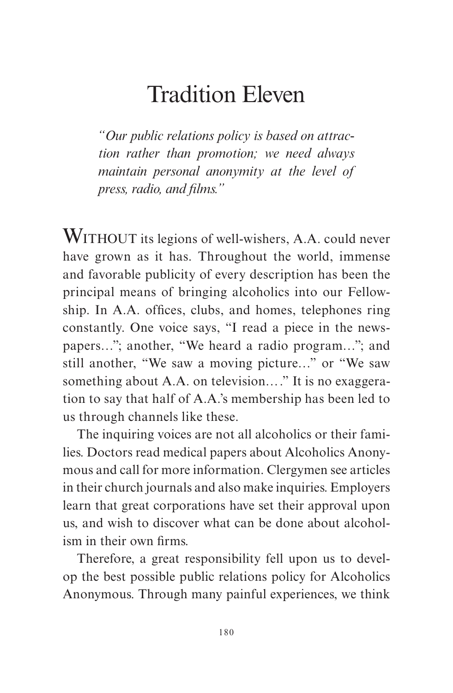## Tradition Eleven

*"Our public relations policy is based on attraction rather than promotion; we need always maintain personal anonymity at the level of press, radio, and films.*"

WITHOUT its legions of well-wishers, A.A. could never have grown as it has. Throughout the world, immense and favorable publicity of every description has been the principal means of bringing alcoholics into our Fellowship. In A.A. offices, clubs, and homes, telephones ring constantly. One voice says, "I read a piece in the newspapers…"; another, "We heard a radio program…"; and still another, "We saw a moving picture…" or "We saw something about A.A. on television...." It is no exaggeration to say that half of A.A.'s membership has been led to us through channels like these.

The inquiring voices are not all alcoholics or their families. Doctors read medical papers about Alcoholics Anonymous and call for more information. Clergymen see articles in their church journals and also make inquiries. Employers learn that great corporations have set their approval upon us, and wish to discover what can be done about alcoholism in their own firms.

Therefore, a great responsibility fell upon us to develop the best possible public relations policy for Alcoholics Anonymous. Through many painful experiences, we think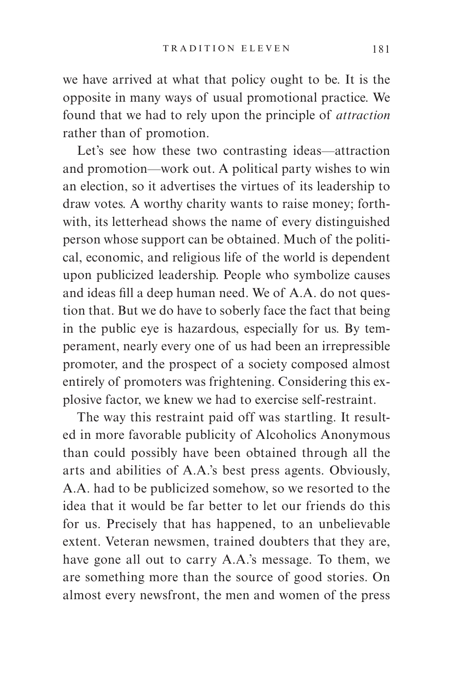we have arrived at what that policy ought to be. It is the opposite in many ways of usual promotional practice. We found that we had to rely upon the principle of *attraction* rather than of promotion.

Let's see how these two contrasting ideas—attraction and promotion—work out. A political party wishes to win an election, so it advertises the virtues of its leadership to draw votes. A worthy charity wants to raise money; forthwith, its letterhead shows the name of every distinguished person whose support can be obtained. Much of the political, economic, and religious life of the world is dependent upon publicized leadership. People who symbolize causes and ideas fill a deep human need. We of A.A. do not question that. But we do have to soberly face the fact that being in the public eye is hazardous, especially for us. By temperament, nearly every one of us had been an irrepressible promoter, and the prospect of a society composed almost entirely of promoters was frightening. Considering this explosive factor, we knew we had to exercise self-restraint.

The way this restraint paid off was startling. It resulted in more favorable publicity of Alcoholics Anonymous than could possibly have been obtained through all the arts and abilities of A.A.'s best press agents. Obviously, A.A. had to be publicized somehow, so we resorted to the idea that it would be far better to let our friends do this for us. Precisely that has happened, to an unbelievable extent. Veteran newsmen, trained doubters that they are, have gone all out to carry A.A.'s message. To them, we are something more than the source of good stories. On almost every newsfront, the men and women of the press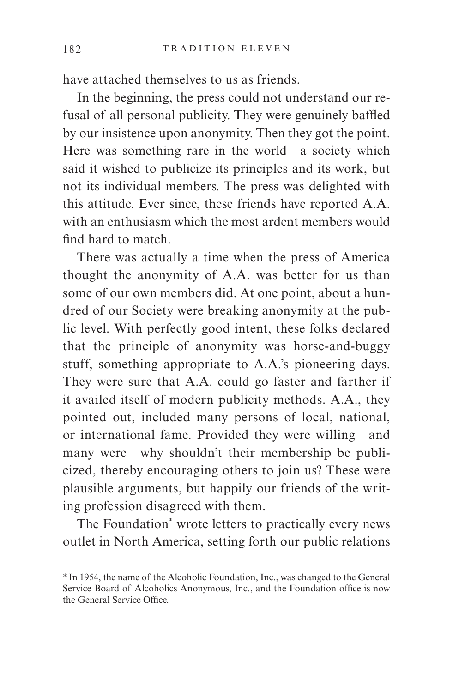have attached themselves to us as friends.

In the beginning, the press could not understand our refusal of all personal publicity. They were genuinely baffled by our insistence upon anonymity. Then they got the point. Here was something rare in the world—a society which said it wished to publicize its principles and its work, but not its individual members. The press was delighted with this attitude. Ever since, these friends have reported A.A. with an enthusiasm which the most ardent members would find hard to match.

There was actually a time when the press of America thought the anonymity of A.A. was better for us than some of our own members did. At one point, about a hundred of our Society were breaking anonymity at the public level. With perfectly good intent, these folks declared that the principle of anonymity was horse-and-buggy stuff, something appropriate to A.A.'s pioneering days. They were sure that A.A. could go faster and farther if it availed itself of modern publicity methods. A.A., they pointed out, included many persons of local, national, or international fame. Provided they were willing—and many were—why shouldn't their membership be publicized, thereby encouraging others to join us? These were plausible arguments, but happily our friends of the writing profession disagreed with them.

The Foundation\* wrote letters to practically every news outlet in North America, setting forth our public relations

<sup>\*</sup> In 1954, the name of the Alcoholic Foundation, Inc., was changed to the General Service Board of Alcoholics Anonymous, Inc., and the Foundation office is now the General Service Office.